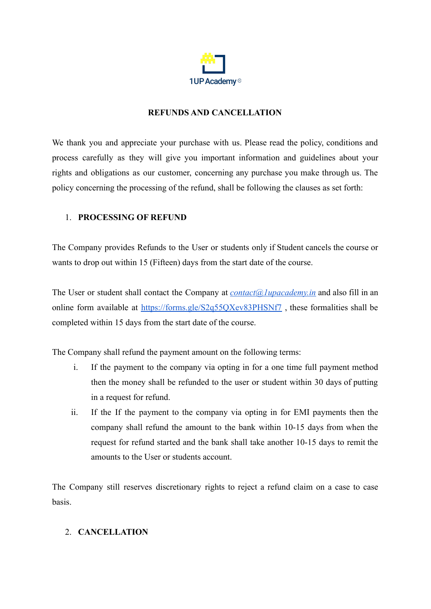

## **REFUNDS AND CANCELLATION**

We thank you and appreciate your purchase with us. Please read the policy, conditions and process carefully as they will give you important information and guidelines about your rights and obligations as our customer, concerning any purchase you make through us. The policy concerning the processing of the refund, shall be following the clauses as set forth:

## 1. **PROCESSING OF REFUND**

The Company provides Refunds to the User or students only if Student cancels the course or wants to drop out within 15 (Fifteen) days from the start date of the course.

The User or student shall contact the Company at *[contact@1upacademy.in](mailto:contact@1upacademy.in)* and also fill in an online form available at <https://forms.gle/S2q55QXev83PHSNf7> , these formalities shall be completed within 15 days from the start date of the course.

The Company shall refund the payment amount on the following terms:

- i. If the payment to the company via opting in for a one time full payment method then the money shall be refunded to the user or student within 30 days of putting in a request for refund.
- ii. If the If the payment to the company via opting in for EMI payments then the company shall refund the amount to the bank within 10-15 days from when the request for refund started and the bank shall take another 10-15 days to remit the amounts to the User or students account.

The Company still reserves discretionary rights to reject a refund claim on a case to case basis.

## 2. **CANCELLATION**